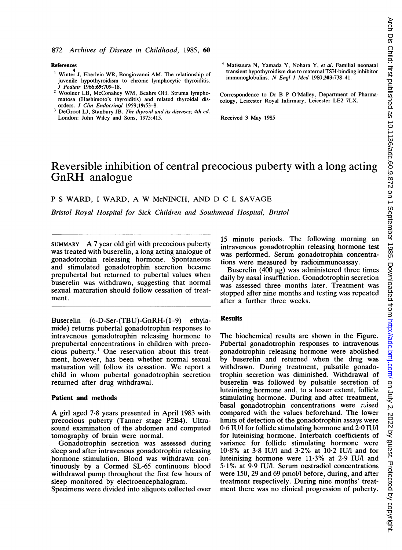### References

- Winter J, Eberlein WR, Bongiovanni AM. The relationship of juvenile hypothyroidism to chronic lymphocytic thyroiditis. J Pediatr 1966;69:709-18.
- <sup>2</sup> Woolner LB, McConahey WM, Beahrs OH. Struma lymphomatosa (Hashimoto's thyroiditis) and related thyroidal disorders. J Clin Endocrinol 1959;19:53-8.
- <sup>3</sup> DeGroot LJ, Stanbury JB. The thyroid and its diseases; 4th ed. London: John Wiley and Sons, 1975:415.
- <sup>4</sup> Matisuura N, Yamada Y, Nohara Y, et al. Familial neonatal transient hypothyroidism due to maternal TSH-binding inhibitor immunoglobulins. N Engl <sup>J</sup> Med 1980;303:738-41.
- Correspondence to Dr B P O'Malley, Department of Pharmacology, Leicester Royal Infirmary, Leicester LE2 7LX.

Received <sup>3</sup> May 1985

# Reversible inhibition of central precocious puberty with a long acting GnRH analogue

### <sup>P</sup> <sup>S</sup> WARD, <sup>I</sup> WARD, A W McNINCH, AND D <sup>C</sup> <sup>L</sup> SAVAGE

Bristol Royal Hospital for Sick Children and Southmead Hospital, Bristol

SUMMARY A <sup>7</sup> year old girl with precocious puberty was treated with buserelin, a long acting analogue of gonadotrophin releasing hormone. Spontaneous and stimulated gonadotrophin secretion became prepubertal but returned to pubertal values when buserelin was withdrawn, suggesting that normal sexual maturation should follow cessation of treatment.

Buserelin (6-D-Ser-(TBU)-GnRH-(1-9) ethylamide) returns pubertal gonadotrophin responses to intravenous gonadotrophin releasing hormone to prepubertal concentrations in children with precocious puberty.<sup>1</sup> One reservation about this treatment, however, has been whether normal sexual maturation will follow its cessation. We report <sup>a</sup> child in whom pubertal gonadotrophin secretion returned after drug withdrawal.

### Patient and methods

A girl aged 7-8 years presented in April <sup>1983</sup> with precocious puberty (Tanner stage P2B4). Ultrasound examination of the abdomen and computed tomography of brain were normal.

Gonadotrophin secretion was assessed during sleep and after intravenous gonadotrophin releasing hormone stimulation. Blood was withdrawn continuously by a Cormed SL-65 continuous blood withdrawal pump throughout the first few hours of sleep monitored by electroencephalogram.

Specimens were divided into aliquots collected over

15 minute periods. The following morning an intravenous gonadotrophin releasing hormone test was performed. Serum gonadotrophin concentrations were measured by radioimmunoassay.

Buserelin  $(400 \mu g)$  was administered three times daily by nasal insufflation. Gonadotrophin secretion was assessed three months later. Treatment was stopped after nine months and testing was repeated after a further three weeks.

## Results

The biochemical results are shown in the Figure. Pubertal gonadotrophin responses to intravenous gonadotrophin releasing hormone were abolished by buserelin and returned when the drug was withdrawn. During treatment, pulsatile gonadotrophin secretion was diminished. Withdrawal of buserelin was followed by pulsatile secretion of luteinising hormone and, to a lesser extent, follicle stimulating hormone. During and after treatment, basal gonadotrophin concentrations were raised compared with the values beforehand. The lower limits of detection of the gonadotrophin assays were 0-6 IU/l for follicle stimulating hormone and 2-0 IU/I for luteinising hormone. Interbatch coefficients of variance for follicle stimulating hormone were 10-8% at 3-8 IU/l and 3-2% at 10-2 IU/l and for luteinising hormone were 11-3% at 2-9 IU/l and 5-1% at 9.9 IU/l. Serum oestradiol concentrations were 150, 29 and 69 pmol/l before, during, and after treatment respectively. During nine months' treatment there was no clinical progression of puberty.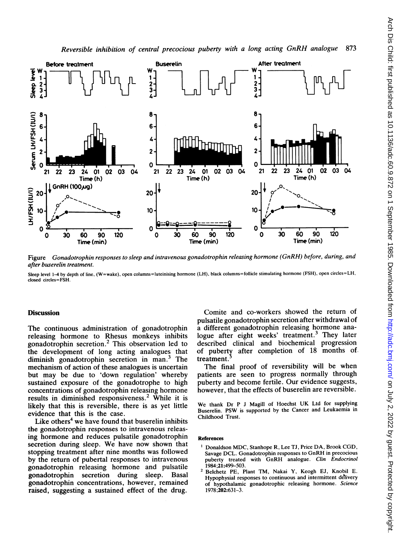



Figure Gonadotrophin responses to sleep and intravenous gonadotrophin releasing hormone (GnRH) before, during, and after buserelin treatment.

Sleep level 1-4 by depth of line, (W=wake), open columns=luteinising hormone (LH), black columns=follicle stimulating hormone (FSH), open circles=LH, closed circles=FSH.

## **Discussion**

The continuous administration of gonadotrophin releasing hormone to Rhesus monkeys inhibits gonadotrophin secretion.2 This observation led to the development of long acting analogues that diminish gonadotrophin secretion in man.3 The mechanism of action of these analogues is uncertain but may be due to 'down regulation' whereby sustained exposure of the gonadotrophe to high concentrations of gonadotrophin releasing hormone results in diminished responsiveness.<sup>2</sup> While it is likely that this is reversible, there is as yet little evidence that this is the case.

Like others<sup>4</sup> we have found that buserelin inhibits the gonadotrophin responses to intravenous releasing hormone and reduces pulsatile gonadotrophin secretion during sleep. We have now shown that stopping treatment after nine months was followed by the return of pubertal responses to intravenous gonadotrophin releasing hormone and pulsatile gonadotrophin secretion during sleep. Basal gonadotrophin concentrations, however, remained raised, suggesting a sustained effect of the drug.

Comite and co-workers showed the return of pulsatile gonadotrophin secretion after withdrawal of a different gonadotrophin releasing hormone analogue after eight weeks' treatment.<sup>3</sup> They later described clinical and biochemical progression of puberty after completion of 18 months of treatment.

The final proof of reversibility will be when patients are seen to progress normally through puberty and become fertile. Our evidence suggests, however, that the effects of buserelin are reversible.

We thank Dr P J Magill of Hoechst UK Ltd for supplying Buserelin. PSW is supported by the Cancer and Leukaemia in Childhood Trust.

#### References

- <sup>1</sup> Donaldson MDC, Stanhope R, Lee TJ, Price DA, Brook CGD, Savage DCL. Gonadotrophin responses to GnRH in precocious puberty treated with GnRH analogue. Clin Endocrinol 1984;21:499-503.
- <sup>2</sup> Belchetz PE, Plant TM, Nakai Y, Keogh EJ, Knobil E. Hypophysial responses to continuous and intermittent delivery of hypothalamic gonadotrophic releasing hormone. Science 1978;202:631-3.